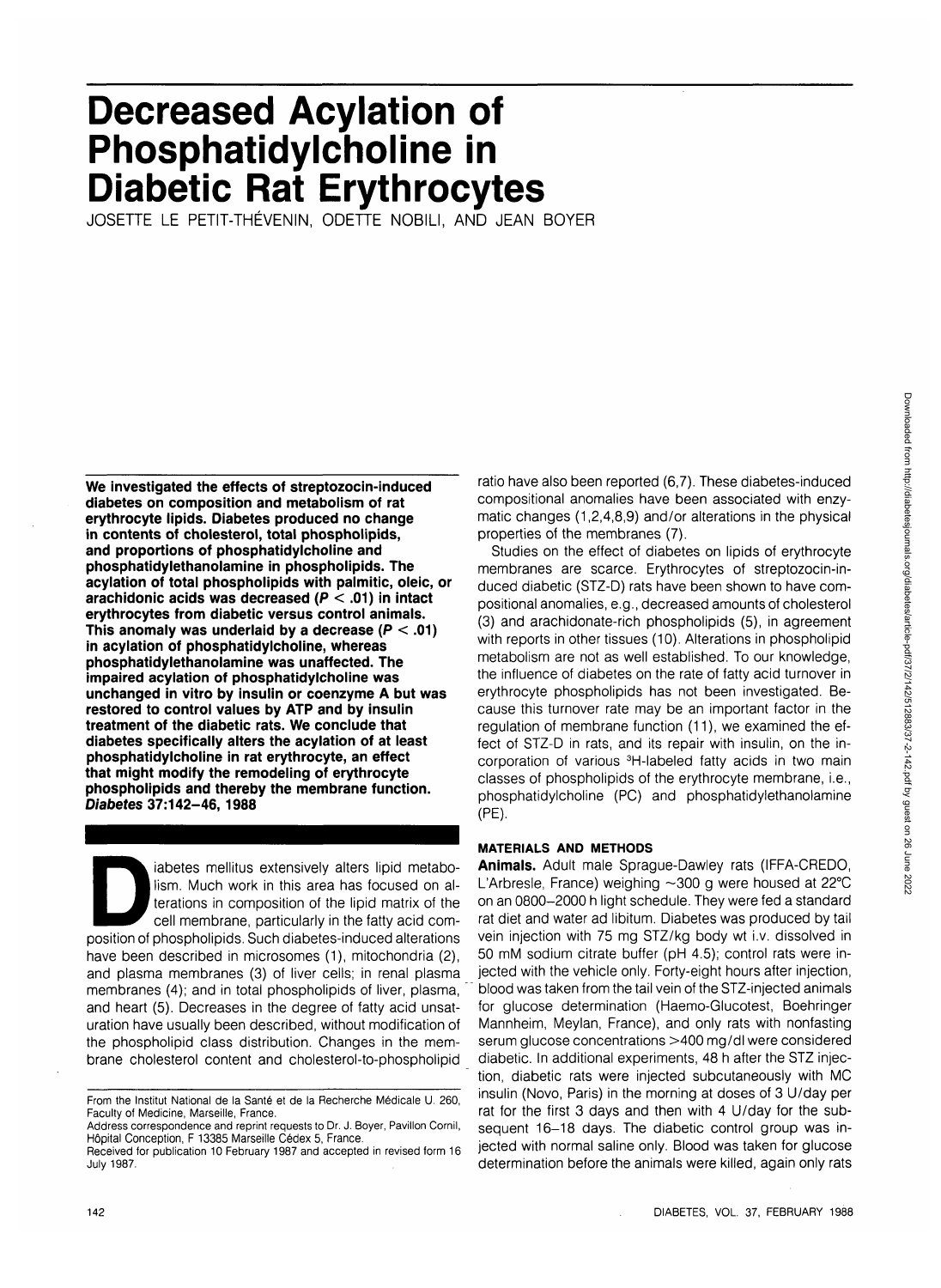# **Decreased Acylation of Phosphatidylcholine in Diabetic Rat Erythrocytes**

JOSETTE LE PETIT-THEVENIN, ODETTE NOBILI, AND JEAN BOYER

**We investigated the effects of streptozocin-induced diabetes on composition and metabolism of rat erythrocyte lipids. Diabetes produced no change in contents of cholesterol, total phospholipids, and proportions of phosphatidylcholine and phosphatidylethanolamine in phospholipids. The acylation of total phospholipids with palmitic, oleic, or arachidonic acids was decreased (P < .01) in intact erythrocytes from diabetic versus control animals. This anomaly was underlaid by a decrease (P < .01) in acylation of phosphatidylcholine, whereas phosphatidylethanolamine was unaffected. The impaired acylation of phosphatidylcholine was unchanged in vitro by insulin or coenzyme A but was restored to control values by ATP and by insulin treatment of the diabetic rats. We conclude that diabetes specifically alters the acylation of at least phosphatidylcholine in rat erythrocyte, an effect that might modify the remodeling of erythrocyte phospholipids and thereby the membrane function. Diabetes 37:142-46, 1988**

iabetes mellitus extensively alters lipid metabo-<br>lism. Much work in this area has focused on al-<br>terations in composition of the lipid matrix of the<br>cell membrane, particularly in the fatty acid com-<br>position of phospholi lism. Much work in this area has focused on alterations in composition of the lipid matrix of the cell membrane, particularly in the fatty acid comhave been described in microsomes (1), mitochondria (2), and plasma membranes (3) of liver cells; in renal plasma membranes (4); and in total phospholipids of liver, plasma, and heart (5). Decreases in the degree of fatty acid unsaturation have usually been described, without modification of the phospholipid class distribution. Changes in the membrane cholesterol content and cholesterol-to-phospholipid ratio have also been reported (6,7). These diabetes-induced compositional anomalies have been associated with enzymatic changes (1,2,4,8,9) and/or alterations in the physical properties of the membranes (7).

Studies on the effect of diabetes on lipids of erythrocyte membranes are scarce. Erythrocytes of streptozocin-induced diabetic (STZ-D) rats have been shown to have compositional anomalies, e.g., decreased amounts of cholesterol (3) and arachidonate-rich phospholipids (5), in agreement with reports in other tissues (10). Alterations in phospholipid metabolism are not as well established. To our knowledge, the influence of diabetes on the rate of fatty acid turnover in erythrocyte phospholipids has not been investigated. Because this turnover rate may be an important factor in the regulation of membrane function (11), we examined the effect of STZ-D in rats, and its repair with insulin, on the incorporation of various 3H-labeled fatty acids in two main classes of phospholipids of the erythrocyte membrane, i.e., phosphatidylcholine (PC) and phosphatidylethanolamine (PE).

## **MATERIALS AND METHODS**

**Animals.** Adult male Sprague-Dawley rats (IFFA-CREDO, L'Arbresle, France) weighing  $\sim$ 300 g were housed at 22°C on an 0800-2000 h light schedule. They were fed a standard rat diet and water ad libitum. Diabetes was produced by tail vein injection with 75 mg STZ/kg body wt i.v. dissolved in 50 mM sodium citrate buffer (pH 4.5); control rats were injected with the vehicle only. Forty-eight hours after injection, blood was taken from the tail vein of the STZ-injected animals for glucose determination (Haemo-Glucotest, Boehringer Mannheim, Meylan, France), and only rats with nonfasting serum glucose concentrations >400 mg/dl were considered diabetic. In additional experiments, 48 h after the STZ injection, diabetic rats were injected subcutaneously with MC insulin (Novo, Paris) in the morning at doses of 3 U/day per rat for the first 3 days and then with 4 U/day for the subsequent 16-18 days. The diabetic control group was injected with normal saline only. Blood was taken for glucose determination before the animals were killed, again only rats

From the **Institut** National de la Sante et de la Recherche Medicale U. 260, Faculty of Medicine, Marseille, France.

Address correspondence and reprint requests to Dr. J. Boyer, Pavilion Cornil, Hôpital Conception, F 13385 Marseille Cédex 5, France.

Received for publication 10 February 1987 and accepted in revised form 16 July 1987.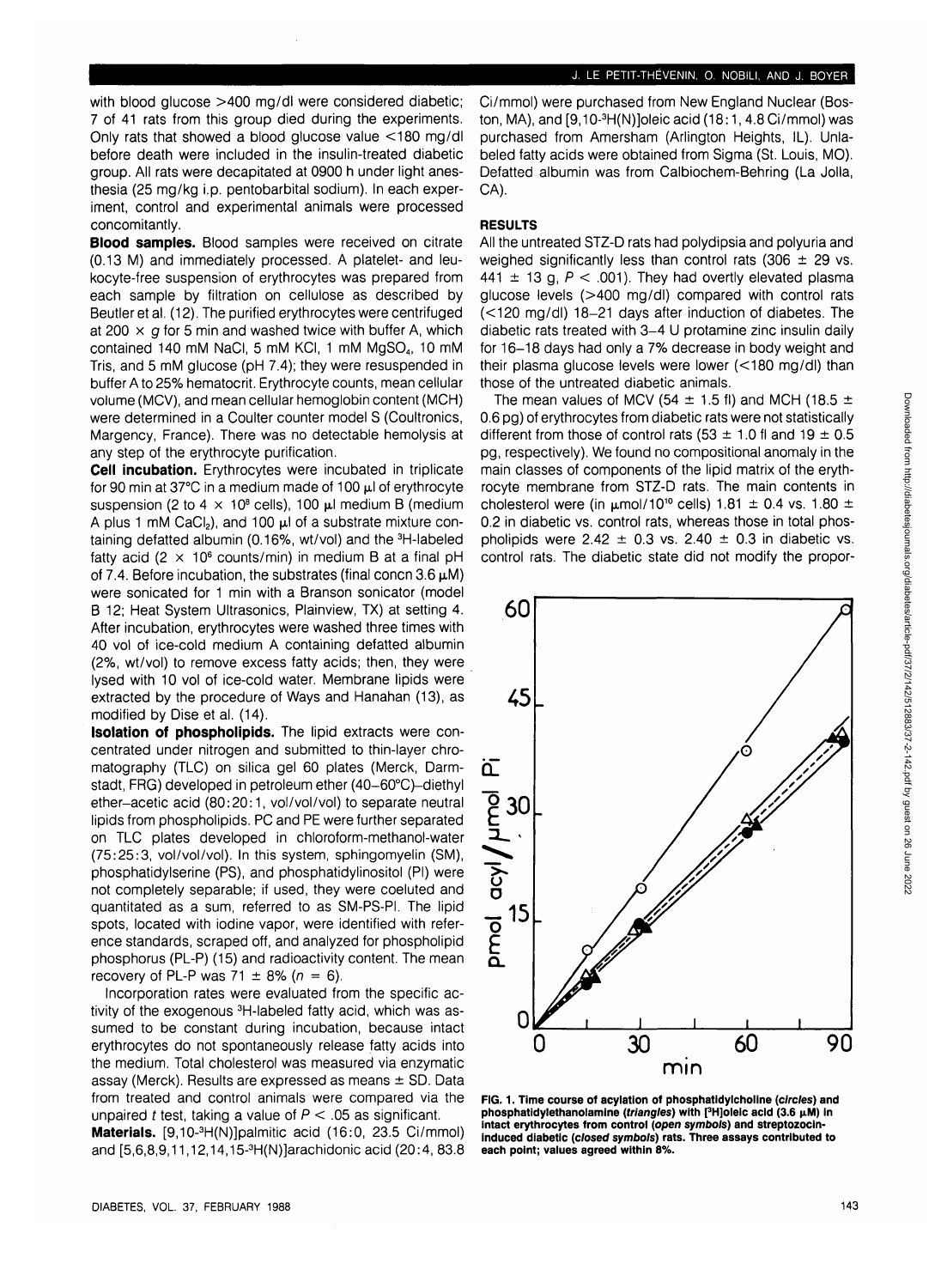with blood glucose >400 mg/dl were considered diabetic; 7 of 41 rats from this group died during the experiments. Only rats that showed a blood glucose value <180 mg/dl before death were included in the insulin-treated diabetic group. All rats were decapitated at 0900 h under light anesthesia (25 mg/kg i.p. pentobarbital sodium). In each experiment, control and experimental animals were processed concomitantly.

**Blood samples.** Blood samples were received on citrate (0.13 M) and immediately processed. A platelet- and leukocyte-free suspension of erythrocytes was prepared from each sample by filtration on cellulose as described by Beutler et al. (12). The purified erythrocytes were centrifuged at 200  $\times$  g for 5 min and washed twice with buffer A, which contained 140 mM NaCI, 5 mM KCI, 1 mM MgSO4, 10 mM Tris, and 5 mM glucose (pH 7.4); they were resuspended in buffer A to 25% hematocrit. Erythrocyte counts, mean cellular volume (MCV), and mean cellular hemoglobin content (MCH) were determined in a Coulter counter model S (Coultronics, Margency, France). There was no detectable hemolysis at any step of the erythrocyte purification.

**Cell incubation.** Erythrocytes were incubated in triplicate for 90 min at 37 $^{\circ}$ C in a medium made of 100  $\mu$ l of erythrocyte suspension (2 to 4  $\times$  10<sup>8</sup> cells), 100  $\mu$ l medium B (medium A plus 1 mM CaCl<sub>2</sub>), and 100  $\mu$ l of a substrate mixture containing defatted albumin (0.16%, wt/vol) and the 3H-labeled fatty acid (2  $\times$  10<sup>6</sup> counts/min) in medium B at a final pH of 7.4. Before incubation, the substrates (final concn  $3.6 \mu M$ ) were sonicated for 1 min with a Branson sonicator (model B 12; Heat System Ultrasonics, Plainview, TX) at setting 4. After incubation, erythrocytes were washed three times with 40 vol of ice-cold medium A containing defatted albumin (2%, wt/vol) to remove excess fatty acids; then, they were lysed with 10 vol of ice-cold water. Membrane lipids were extracted by the procedure of Ways and Hanahan (13), as modified by Dise et al. (14).

**Isolation of phospholipids.** The lipid extracts were concentrated under nitrogen and submitted to thin-layer chromatography (TLC) on silica gel 60 plates (Merck, Darmstadt, FRG) developed in petroleum ether (40-60°C)-diethyl ether-acetic acid (80:20:1, vol/vol/vol) to separate neutral lipids from phospholipids. PC and PE were further separated on TLC plates developed in chloroform-methanol-water (75:25:3, vol/vol/vol). In this system, sphingomyelin (SM), phosphatidylserine (PS), and phosphatidylinositol (PI) were not completely separable; if used, they were coeluted and quantitated as a sum, referred to as SM-PS-PI. The lipid spots, located with iodine vapor, were identified with reference standards, scraped off, and analyzed for phospholipid phosphorus (PL-P) (15) and radioactivity content. The mean recovery of PL-P was 71  $\pm$  8% ( $n = 6$ ).

Incorporation rates were evaluated from the specific activity of the exogenous 3H-labeled fatty acid, which was assumed to be constant during incubation, because intact erythrocytes do not spontaneously release fatty acids into the medium. Total cholesterol was measured via enzymatic assay (Merck). Results are expressed as means  $\pm$  SD. Data from treated and control animals were compared via the unpaired t test, taking a value of  $P < 0.05$  as significant.

Materials. [9,10-<sup>3</sup>H(N)]palmitic acid (16:0, 23.5 Ci/mmol) and [5,6,8,9,11,12,14,15-<sup>3</sup> H(N)]arachidonic acid (20:4, 83.8 Ci/mmol) were purchased from New England Nuclear (Boston, MA), and [9,10-<sup>3</sup>H(N)]oleic acid (18:1, 4.8 Ci/mmol) was purchased from Amersham (Arlington Heights, IL). Unlabeled fatty acids were obtained from Sigma (St. Louis, MO). Defatted albumin was from Calbiochem-Behring (La Jolla, CA).

## **RESULTS**

All the untreated STZ-D rats had polydipsia and polyuria and weighed significantly less than control rats (306  $\pm$  29 vs. 441  $\pm$  13 g,  $P < .001$ ). They had overtly elevated plasma glucose levels (>400 mg/dl) compared with control rats (<120 mg/dl) 18-21 days after induction of diabetes. The diabetic rats treated with 3-4 U protamine zinc insulin daily for 16-18 days had only a 7% decrease in body weight and their plasma glucose levels were lower (<180 mg/dl) than those of the untreated diabetic animals.

The mean values of MCV (54  $\pm$  1.5 fl) and MCH (18.5  $\pm$ 0.6 pg) of erythrocytes from diabetic rats were not statistically different from those of control rats (53  $\pm$  1.0 fl and 19  $\pm$  0.5 pg, respectively). We found no compositional anomaly in the main classes of components of the lipid matrix of the erythrocyte membrane from STZ-D rats. The main contents in cholesterol were (in  $\mu$ mol/10<sup>10</sup> cells) 1.81  $\pm$  0.4 vs. 1.80  $\pm$ 0.2 in diabetic vs. control rats, whereas those in total phospholipids were  $2.42 \pm 0.3$  vs. 2.40  $\pm$  0.3 in diabetic vs. control rats. The diabetic state did not modify the propor-



**FIG. 1. Time course of acylation of phosphatidylcholine (circles) and phosphatidylethanolamine** (*triangles*) with [3H]oleic acid (3.6 μM) in **intact erythrocytes from control (open symbols) and streptozocininduced diabetic (closed symbols) rats. Three assays contributed to each point; values agreed within 8%.**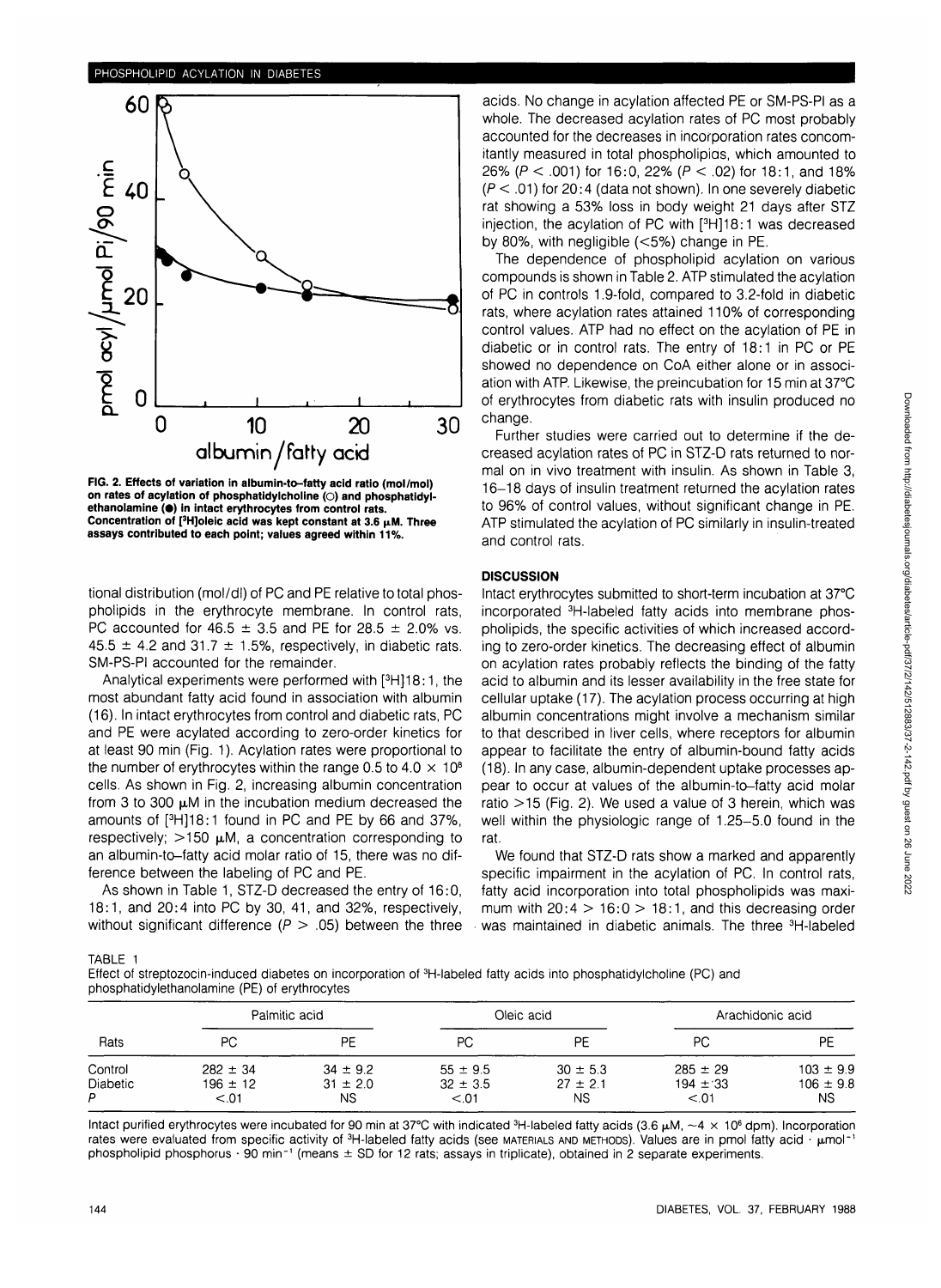

**FIG. 2. Effects of variation in albumin-to-fatty acid ratio (mol/mol) on rates of acylation of phosphatidylcholine (O) and phosphatidyl**ethanolamine ( $\bullet$ ) in intact erythrocytes from control rats. **Concentration of [3 H]oleic acid was kept constant at 3.6 jiM. Three assays contributed to each point; values agreed within 11%.**

tional distribution (mol/dl) of PC and PE relative to total phospholipids in the erythrocyte membrane. In control rats, PC accounted for 46.5  $\pm$  3.5 and PE for 28.5  $\pm$  2.0% vs. 45.5  $\pm$  4.2 and 31.7  $\pm$  1.5%, respectively, in diabetic rats. SM-PS-PI accounted for the remainder.

Analytical experiments were performed with [<sup>3</sup>H]18:1, the most abundant fatty acid found in association with albumin (16). In intact erythrocytes from control and diabetic rats, PC and PE were acylated according to zero-order kinetics for at least 90 min (Fig. 1). Acylation rates were proportional to the number of erythrocytes within the range 0.5 to 4.0  $\times$  10<sup>8</sup> cells. As shown in Fig. 2, increasing albumin concentration from 3 to 300  $\mu$ M in the incubation medium decreased the amounts of [<sup>3</sup> H]18:1 found in PC and PE by 66 and 37%, respectively;  $>150 \mu M$ , a concentration corresponding to an albumin-to-fatty acid molar ratio of 15, there was no difference between the labeling of PC and PE.

As shown in Table 1, STZ-D decreased the entry of 16:0, 18:1, and 20:4 into PC by 30, 41, and 32%, respectively, without significant difference ( $P > .05$ ) between the three

acids. No change in acylation affected PE or SM-PS-PI as a whole. The decreased acylation rates of PC most probably accounted for the decreases in incorporation rates concomitantly measured in total phospholipias, which amounted to 26% (P < .001) for 16:0, 22% (P < .02) for 18:1, and 18%  $(P < .01)$  for 20:4 (data not shown). In one severely diabetic rat showing a 53% loss in body weight 21 days after STZ injection, the acylation of PC with [<sup>3</sup> H]18:1 was decreased by 80%, with negligible (<5%) change in PE.

The dependence of phospholipid acylation on various compounds is shown in Table 2. ATP stimulated the acylation of PC in controls 1.9-fold, compared to 3.2-fold in diabetic rats, where acylation rates attained 110% of corresponding control values. ATP had no effect on the acylation of PE in diabetic or in control rats. The entry of 18:1 in PC or PE showed no dependence on CoA either alone or in association with ATP. Likewise, the preincubation for 15 min at 37°C of erythrocytes from diabetic rats with insulin produced no change.

Further studies were carried out to determine if the decreased acylation rates of PC in STZ-D rats returned to normal on in vivo treatment with insulin. As shown in Table 3, 16-18 days of insulin treatment returned the acylation rates to 96% of control values, without significant change in PE. ATP stimulated the acylation of PC similarly in insulin-treated and control rats.

## **DISCUSSION**

Intact erythrocytes submitted to short-term incubation at 37°C incorporated 3H-labeled fatty acids into membrane phospholipids, the specific activities of which increased according to zero-order kinetics. The decreasing effect of albumin on acylation rates probably reflects the binding of the fatty acid to albumin and its lesser availability in the free state for cellular uptake (17). The acylation process occurring at high albumin concentrations might involve a mechanism similar to that described in liver cells, where receptors for albumin appear to facilitate the entry of albumin-bound fatty acids (18). In any case, albumin-dependent uptake processes appear to occur at values of the albumin-to-fatty acid molar ratio  $>$ 15 (Fig. 2). We used a value of 3 herein, which was well within the physiologic range of 1.25-5.0 found in the rat.

We found that STZ-D rats show a marked and apparently specific impairment in the acylation of PC. In control rats, fatty acid incorporation into total phospholipids was maximum with  $20:4 > 16:0 > 18:1$ , and this decreasing order was maintained in diabetic animals. The three <sup>3</sup>H-labeled

| TABL |  |
|------|--|
|      |  |

Effect of streptozocin-induced diabetes on incorporation of <sup>3</sup>H-labeled fatty acids into phosphatidylcholine (PC) and phosphatidylethanolamine (PE) of erythrocytes

| Rats                       | Palmitic acid                |                              | Oleic acid                   |                              | Arachidonic acid             |                                |
|----------------------------|------------------------------|------------------------------|------------------------------|------------------------------|------------------------------|--------------------------------|
|                            | PС                           | PE                           | РC                           | PE                           | РC                           | PE                             |
| Control<br><b>Diabetic</b> | $282 \pm 34$<br>$196 \pm 12$ | $34 \pm 9.2$<br>$31 \pm 2.0$ | $55 \pm 9.5$<br>$32 \pm 3.5$ | $30 \pm 5.3$<br>$27 \pm 2.1$ | $285 \pm 29$<br>$194 \pm 33$ | $103 \pm 9.9$<br>$106 \pm 9.8$ |
| P                          | < 0.01                       | NS.                          | < 0.01                       | <b>NS</b>                    | < 0.01                       | NS.                            |

Intact purified erythrocytes were incubated for 90 min at 37°C with indicated <sup>3</sup>H-labeled fatty acids (3.6  $\mu$ M, ~4  $\times$  10<sup>6</sup> dpm). Incorporation rates were evaluated from specific activity of <sup>3</sup>H-labeled fatty acids (see матеницs and метнорs). Values are in pmol fatty acid phospholipid phosphorus  $\cdot$  90 min<sup>-1</sup> (means  $\pm$  SD for 12 rats; assays in triplicate), obtained in 2 separate experiments.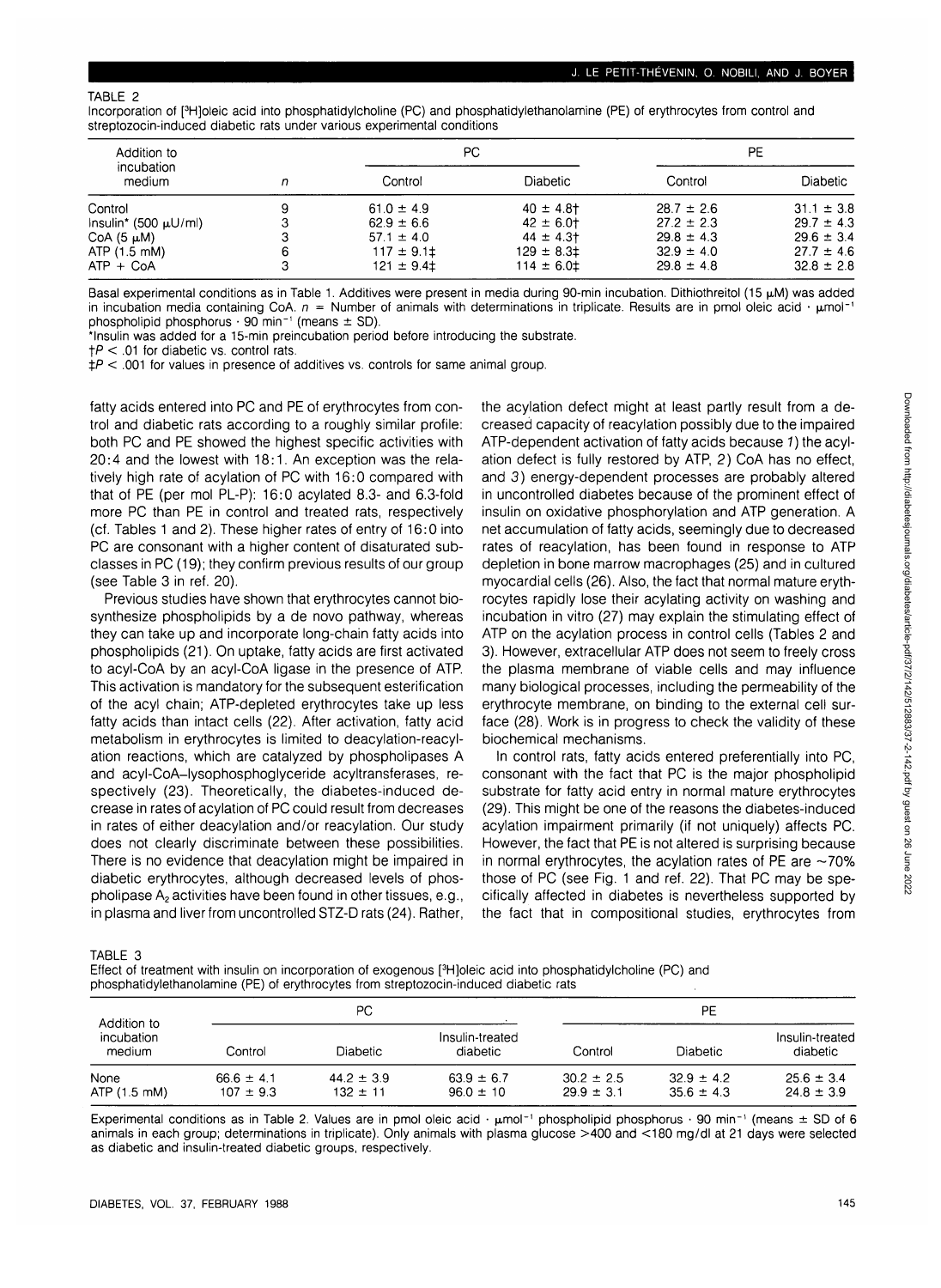### TABLE 2

Incorporation of [3 H]oleic acid into phosphatidylcholine (PC) and phosphatidylethanolamine (PE) of erythrocytes from control and streptozocin-induced diabetic rats under various experimental conditions

| Addition to                |   |                | PC.             |                | РE              |  |
|----------------------------|---|----------------|-----------------|----------------|-----------------|--|
| incubation<br>medium       | n | Control        | <b>Diabetic</b> | Control        | <b>Diabetic</b> |  |
| Control                    | 9 | $61.0 \pm 4.9$ | $40 \pm 4.8$    | $28.7 \pm 2.6$ | $31.1 \pm 3.8$  |  |
| $Insulin^* (500 \mu U/ml)$ |   | $62.9 \pm 6.6$ | $42 \pm 6.0$    | $27.2 \pm 2.3$ | $29.7 \pm 4.3$  |  |
| $CoA(5 \mu M)$             |   | $57.1 \pm 4.0$ | $44 \pm 4.3$    | $29.8 \pm 4.3$ | $29.6 \pm 3.4$  |  |
| ATP (1.5 mM)               |   | $117 \pm 9.11$ | $129 \pm 8.31$  | $32.9 \pm 4.0$ | $27.7 \pm 4.6$  |  |
| $ATP + CoA$                |   | $121 \pm 9.41$ | $114 \pm 6.01$  | $29.8 \pm 4.8$ | $32.8 \pm 2.8$  |  |

Basal experimental conditions as in Table 1. Additives were present in media during 90-min incubation. Dithiothreitol (15  $\mu$ M) was added in incubation media containing CoA.  $n =$  Number of animals with determinations in triplicate. Results are in pmol oleic acid  $\cdot$  umol<sup>-1</sup> phospholipid phosphorus  $\cdot$  90 min<sup>-1</sup> (means  $\pm$  SD).

\*lnsulin was added for a 15-min preincubation period before introducing the substrate.

 $\uparrow$  P < .01 for diabetic vs. control rats.

 $\frac{1}{2}P < 0.001$  for values in presence of additives vs. controls for same animal group.

fatty acids entered into PC and PE of erythrocytes from control and diabetic rats according to a roughly similar profile: both PC and PE showed the highest specific activities with 20:4 and the lowest with 18:1. An exception was the relatively high rate of acylation of PC with 16:0 compared with that of PE (per mol PL-P): 16:0 acylated 8.3- and 6.3-fold more PC than PE in control and treated rats, respectively (cf. Tables 1 and 2). These higher rates of entry of 16:0 into PC are consonant with a higher content of disaturated subclasses in PC (19); they confirm previous results of our group (see Table 3 in ref. 20).

Previous studies have shown that erythrocytes cannot biosynthesize phospholipids by a de novo pathway, whereas they can take up and incorporate long-chain fatty acids into phospholipids (21). On uptake, fatty acids are first activated to acyl-CoA by an acyl-CoA ligase in the presence of ATP. This activation is mandatory for the subsequent esterification of the acyl chain; ATP-depleted erythrocytes take up less fatty acids than intact cells (22). After activation, fatty acid metabolism in erythrocytes is limited to deacylation-reacylation reactions, which are catalyzed by phospholipases A and acyl-CoA-lysophosphoglyceride acyltransferases, respectively (23). Theoretically, the diabetes-induced decrease in rates of acylation of PC could result from decreases in rates of either deacylation and/or reacylation. Our study does not clearly discriminate between these possibilities. There is no evidence that deacylation might be impaired in diabetic erythrocytes, although decreased levels of phospholipase  $A_2$  activities have been found in other tissues, e.g., in plasma and liver from uncontrolled STZ-D rats (24). Rather, the acylation defect might at least partly result from a decreased capacity of reacylation possibly due to the impaired ATP-dependent activation of fatty acids because 1) the acylation defect is fully restored by ATP, 2) CoA has no effect, and 3) energy-dependent processes are probably altered in uncontrolled diabetes because of the prominent effect of insulin on oxidative phosphorylation and ATP generation. A net accumulation of fatty acids, seemingly due to decreased rates of reacylation, has been found in response to ATP depletion in bone marrow macrophages (25) and in cultured myocardial cells (26). Also, the fact that normal mature erythrocytes rapidly lose their acylating activity on washing and incubation in vitro (27) may explain the stimulating effect of ATP on the acylation process in control cells (Tables 2 and 3). However, extracellular ATP does not seem to freely cross the plasma membrane of viable cells and may influence many biological processes, including the permeability of the erythrocyte membrane, on binding to the external cell surface (28). Work is in progress to check the validity of these biochemical mechanisms.

In control rats, fatty acids entered preferentially into PC, consonant with the fact that PC is the major phospholipid substrate for fatty acid entry in normal mature erythrocytes (29). This might be one of the reasons the diabetes-induced acylation impairment primarily (if not uniquely) affects PC. However, the fact that PE is not altered is surprising because in normal erythrocytes, the acylation rates of PE are  $\sim$ 70% those of PC (see Fig. 1 and ref. 22). That PC may be specifically affected in diabetes is nevertheless supported by the fact that in compositional studies, erythrocytes from

TABLE 3

| Effect of treatment with insulin on incorporation of exogenous [ <sup>3</sup> H]oleic acid into phosphatidylcholine (PC) and |  |
|------------------------------------------------------------------------------------------------------------------------------|--|
| phosphatidylethanolamine (PE) of erythrocytes from streptozocin-induced diabetic rats                                        |  |

| Addition to<br>incubation<br>medium | PС                              |                                |                                 | PE                               |                                |                                  |
|-------------------------------------|---------------------------------|--------------------------------|---------------------------------|----------------------------------|--------------------------------|----------------------------------|
|                                     | Control                         | Diabetic.                      | Insulin-treated<br>diabetic     | Control                          | <b>Diabetic</b>                | Insulin-treated<br>diabetic      |
| None<br>ATP (1.5 mM)                | $66.6 \pm 4.1$<br>$107 \pm 9.3$ | $44.2 \pm 3.9$<br>$132 \pm 11$ | $63.9 \pm 6.7$<br>$96.0 \pm 10$ | $30.2 \pm 2.5$<br>$29.9 \pm 3.1$ | $329 \pm 42$<br>$35.6 \pm 4.3$ | $25.6 \pm 3.4$<br>$24.8 \pm 3.9$ |

Experimental conditions as in Table 2. Values are in pmol oleic acid  $\cdot$   $\mu$ mol<sup>-1</sup> phospholipid phosphorus  $\cdot$  90 min<sup>-1</sup> (means  $\pm$  SD of 6 animals in each group; determinations in triplicate). Only animals with plasma glucose >400 and <180 mg/dl at 21 days were selected as diabetic and insulin-treated diabetic groups, respectively.